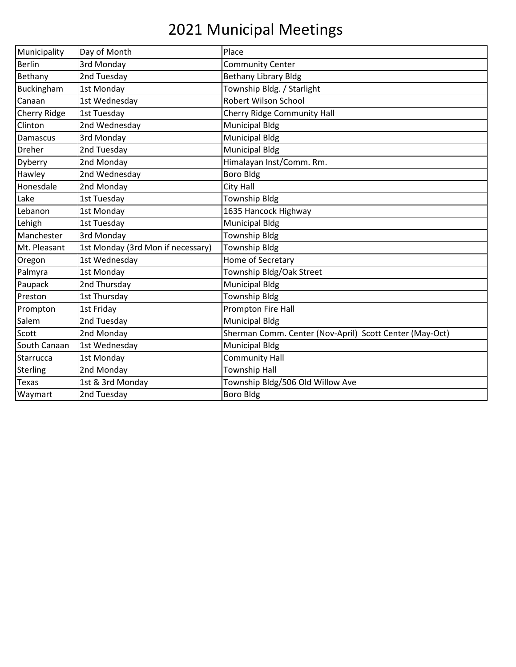## 2021 Municipal Meetings

| Municipality    | Day of Month                      | Place                                                   |
|-----------------|-----------------------------------|---------------------------------------------------------|
| <b>Berlin</b>   | 3rd Monday                        | <b>Community Center</b>                                 |
| Bethany         | 2nd Tuesday                       | <b>Bethany Library Bldg</b>                             |
| Buckingham      | 1st Monday                        | Township Bldg. / Starlight                              |
| Canaan          | 1st Wednesday                     | <b>Robert Wilson School</b>                             |
| Cherry Ridge    | 1st Tuesday                       | Cherry Ridge Community Hall                             |
| Clinton         | 2nd Wednesday                     | <b>Municipal Bldg</b>                                   |
| Damascus        | 3rd Monday                        | <b>Municipal Bldg</b>                                   |
| Dreher          | 2nd Tuesday                       | <b>Municipal Bldg</b>                                   |
| Dyberry         | 2nd Monday                        | Himalayan Inst/Comm. Rm.                                |
| Hawley          | 2nd Wednesday                     | <b>Boro Bldg</b>                                        |
| Honesdale       | 2nd Monday                        | City Hall                                               |
| Lake            | 1st Tuesday                       | <b>Township Bldg</b>                                    |
| Lebanon         | 1st Monday                        | 1635 Hancock Highway                                    |
| Lehigh          | 1st Tuesday                       | <b>Municipal Bldg</b>                                   |
| Manchester      | 3rd Monday                        | <b>Township Bldg</b>                                    |
| Mt. Pleasant    | 1st Monday (3rd Mon if necessary) | <b>Township Bldg</b>                                    |
| Oregon          | 1st Wednesday                     | Home of Secretary                                       |
| Palmyra         | 1st Monday                        | Township Bldg/Oak Street                                |
| Paupack         | 2nd Thursday                      | <b>Municipal Bldg</b>                                   |
| Preston         | 1st Thursday                      | <b>Township Bldg</b>                                    |
| Prompton        | 1st Friday                        | Prompton Fire Hall                                      |
| Salem           | 2nd Tuesday                       | <b>Municipal Bldg</b>                                   |
| Scott           | 2nd Monday                        | Sherman Comm. Center (Nov-April) Scott Center (May-Oct) |
| South Canaan    | 1st Wednesday                     | <b>Municipal Bldg</b>                                   |
| Starrucca       | 1st Monday                        | <b>Community Hall</b>                                   |
| <b>Sterling</b> | 2nd Monday                        | <b>Township Hall</b>                                    |
| <b>Texas</b>    | 1st & 3rd Monday                  | Township Bldg/506 Old Willow Ave                        |
| Waymart         | 2nd Tuesday                       | <b>Boro Bldg</b>                                        |
|                 |                                   |                                                         |